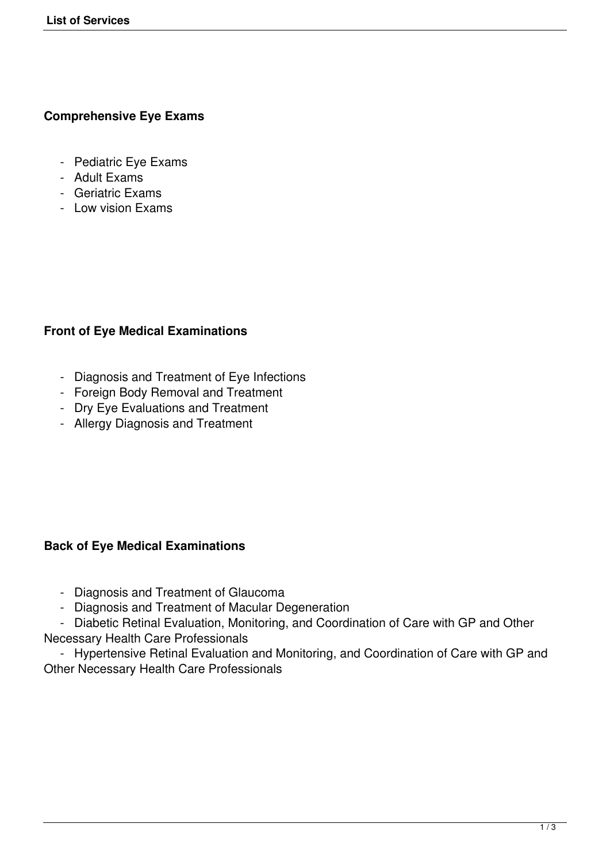### **Comprehensive Eye Exams**

- Pediatric Eye Exams
- Adult Exams
- Geriatric Exams
- Low vision Exams

# **Front of Eye Medical Examinations**

- Diagnosis and Treatment of Eye Infections
- Foreign Body Removal and Treatment
- Dry Eye Evaluations and Treatment
- Allergy Diagnosis and Treatment

# **Back of Eye Medical Examinations**

- Diagnosis and Treatment of Glaucoma
- Diagnosis and Treatment of Macular Degeneration

 - Diabetic Retinal Evaluation, Monitoring, and Coordination of Care with GP and Other Necessary Health Care Professionals

 - Hypertensive Retinal Evaluation and Monitoring, and Coordination of Care with GP and Other Necessary Health Care Professionals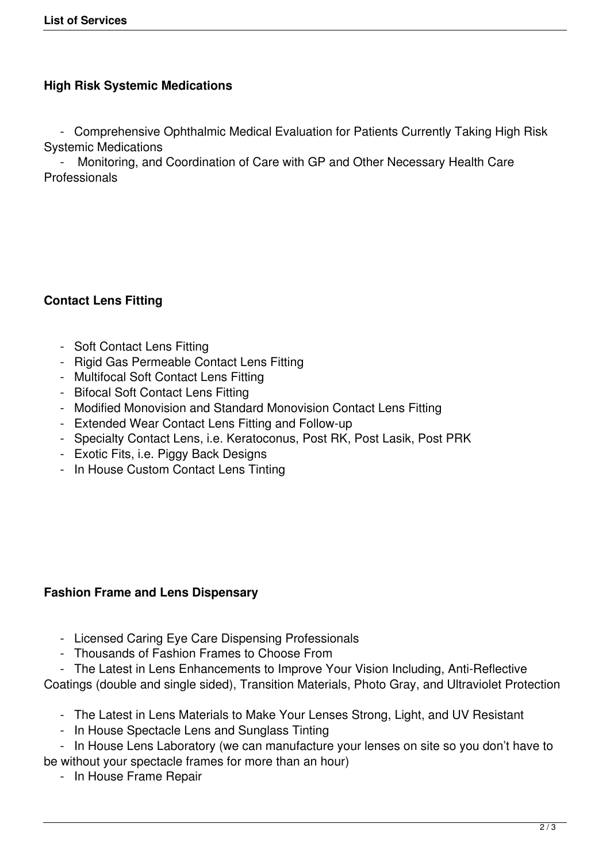# **High Risk Systemic Medications**

 - Comprehensive Ophthalmic Medical Evaluation for Patients Currently Taking High Risk Systemic Medications

 - Monitoring, and Coordination of Care with GP and Other Necessary Health Care Professionals

### **Contact Lens Fitting**

- Soft Contact Lens Fitting
- Rigid Gas Permeable Contact Lens Fitting
- Multifocal Soft Contact Lens Fitting
- Bifocal Soft Contact Lens Fitting
- Modified Monovision and Standard Monovision Contact Lens Fitting
- Extended Wear Contact Lens Fitting and Follow-up
- Specialty Contact Lens, i.e. Keratoconus, Post RK, Post Lasik, Post PRK
- Exotic Fits, i.e. Piggy Back Designs
- In House Custom Contact Lens Tinting

#### **Fashion Frame and Lens Dispensary**

- Licensed Caring Eye Care Dispensing Professionals
- Thousands of Fashion Frames to Choose From
- The Latest in Lens Enhancements to Improve Your Vision Including, Anti-Reflective Coatings (double and single sided), Transition Materials, Photo Gray, and Ultraviolet Protection
	- The Latest in Lens Materials to Make Your Lenses Strong, Light, and UV Resistant
	- In House Spectacle Lens and Sunglass Tinting

 - In House Lens Laboratory (we can manufacture your lenses on site so you don't have to be without your spectacle frames for more than an hour)

- In House Frame Repair